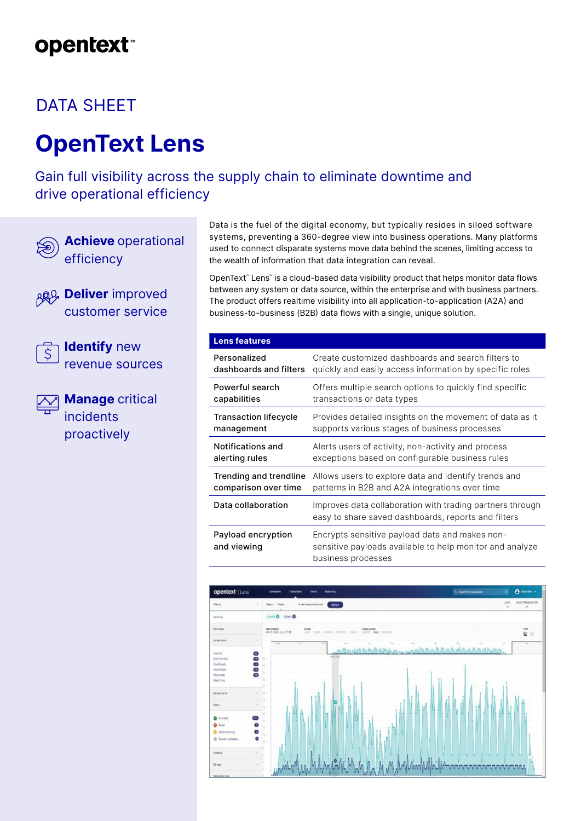## **opentext**

### DATA SHEET

# **OpenText Lens**

Gain full visibility across the supply chain to eliminate downtime and drive operational efficiency



**Achieve** operational efficiency

**ARG** Deliver improved customer service



**Identify** new revenue sources

**Manage** critical incidents proactively

Data is the fuel of the digital economy, but typically resides in siloed software systems, preventing a 360-degree view into business operations. Many platforms used to connect disparate systems move data behind the scenes, limiting access to the wealth of information that data integration can reveal.

OpenText™ Lens™ is a cloud-based data visibility product that helps monitor data flows between any system or data source, within the enterprise and with business partners. The product offers realtime visibility into all application-to-application (A2A) and business-to-business (B2B) data flows with a single, unique solution.

| <b>Lens features</b>              |                                                                                                                                  |
|-----------------------------------|----------------------------------------------------------------------------------------------------------------------------------|
| Personalized                      | Create customized dashboards and search filters to                                                                               |
| dashboards and filters            | quickly and easily access information by specific roles                                                                          |
| Powerful search                   | Offers multiple search options to quickly find specific                                                                          |
| capabilities                      | transactions or data types                                                                                                       |
| <b>Transaction lifecycle</b>      | Provides detailed insights on the movement of data as it                                                                         |
| management                        | supports various stages of business processes                                                                                    |
| Notifications and                 | Alerts users of activity, non-activity and process                                                                               |
| alerting rules                    | exceptions based on configurable business rules                                                                                  |
| Trending and trendline            | Allows users to explore data and identify trends and                                                                             |
| comparison over time              | patterns in B2B and A2A integrations over time                                                                                   |
| Data collaboration                | Improves data collaboration with trading partners through<br>easy to share saved dashboards, reports and filters                 |
| Payload encryption<br>and viewing | Encrypts sensitive payload data and makes non-<br>sensitive payloads available to help monitor and analyze<br>business processes |